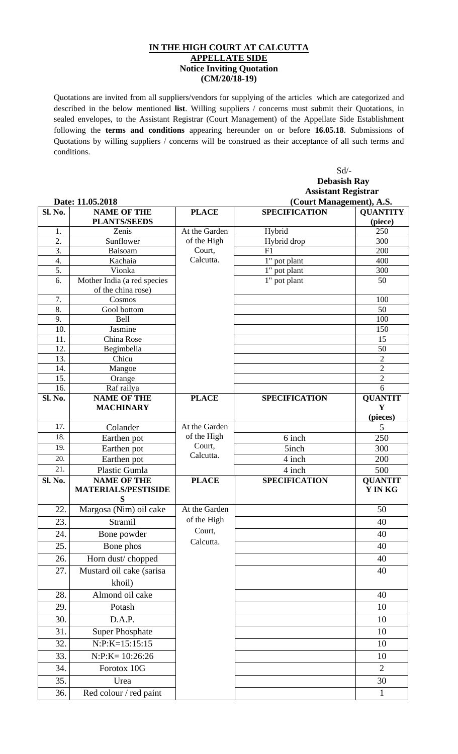## **IN THE HIGH COURT AT CALCUTTA APPELLATE SIDE Notice Inviting Quotation (CM/20/18-19)**

Quotations are invited from all suppliers/vendors for supplying of the articles which are categorized and described in the below mentioned **list**. Willing suppliers / concerns must submit their Quotations, in sealed envelopes, to the Assistant Registrar (Court Management) of the Appellate Side Establishment following the **terms and conditions** appearing hereunder on or before **16.05.18**. Submissions of Quotations by willing suppliers / concerns will be construed as their acceptance of all such terms and conditions.

 Sd/- **Debasish Ray Assistant Registrar** 

|         | Date: 11.05.2018                                  |               | (Court Management), A.S. |                            |  |
|---------|---------------------------------------------------|---------------|--------------------------|----------------------------|--|
| Sl. No. | <b>NAME OF THE</b><br><b>PLANTS/SEEDS</b>         | <b>PLACE</b>  | <b>SPECIFICATION</b>     | <b>OUANTITY</b><br>(piece) |  |
| 1.      | Zenis                                             | At the Garden | Hybrid                   | 250                        |  |
| 2.      | Sunflower                                         | of the High   | Hybrid drop              | 300                        |  |
| 3.      | Baisoam                                           | Court,        | F1                       | 200                        |  |
| 4.      | Kachaia                                           | Calcutta.     | 1" pot plant             | 400                        |  |
| 5.      | Vionka                                            |               | 1" pot plant             | 300                        |  |
| 6.      | Mother India (a red species<br>of the china rose) |               | 1" pot plant             | 50                         |  |
| 7.      | Cosmos                                            |               |                          | 100                        |  |
| 8.      | Gool bottom                                       |               |                          | 50                         |  |
| 9.      | Bell                                              |               |                          | 100                        |  |
| 10.     | Jasmine                                           |               |                          | 150                        |  |
| 11.     | China Rose                                        |               |                          | 15                         |  |
| 12.     | Begimbelia                                        |               |                          | 50                         |  |
| 13.     | Chicu                                             |               |                          | $\overline{2}$             |  |
| 14.     | Mangoe                                            |               |                          | $\overline{c}$             |  |
| 15.     | Orange                                            |               |                          | $\overline{2}$             |  |
| 16.     | Raf railya<br><b>NAME OF THE</b>                  | <b>PLACE</b>  | <b>SPECIFICATION</b>     | 6                          |  |
| Sl. No. | <b>MACHINARY</b>                                  |               |                          | <b>QUANTIT</b><br>Y        |  |
|         |                                                   |               |                          | (pieces)                   |  |
| 17.     | Colander                                          | At the Garden |                          | 5                          |  |
| 18.     | Earthen pot                                       | of the High   | 6 inch                   | 250                        |  |
| 19.     | Earthen pot                                       | Court,        | 5inch                    | 300                        |  |
| 20.     | Earthen pot                                       | Calcutta.     | 4 inch                   | 200                        |  |
| 21.     | Plastic Gumla                                     |               | 4 inch                   | 500                        |  |
| Sl. No. | <b>NAME OF THE</b>                                | <b>PLACE</b>  | <b>SPECIFICATION</b>     | <b>QUANTIT</b>             |  |
|         | <b>MATERIALS/PESTISIDE</b><br>S                   |               |                          | Y IN KG                    |  |
| 22.     | Margosa (Nim) oil cake                            | At the Garden |                          | 50                         |  |
| 23.     | Stramil                                           | of the High   |                          | 40                         |  |
| 24.     | Bone powder                                       | Court,        |                          | 40                         |  |
| 25.     | Bone phos                                         | Calcutta.     |                          | 40                         |  |
| 26.     | Horn dust/chopped                                 |               |                          | 40                         |  |
| 27.     | Mustard oil cake (sarisa                          |               |                          | 40                         |  |
|         | khoil)                                            |               |                          |                            |  |
| 28.     | Almond oil cake                                   |               |                          | 40                         |  |
| 29.     | Potash                                            |               |                          | 10                         |  |
| 30.     | D.A.P.                                            |               |                          | 10                         |  |
| 31.     | <b>Super Phosphate</b>                            |               |                          | 10                         |  |
| 32.     | $N: P: K=15:15:15$                                |               |                          | 10                         |  |
| 33.     | $N:P:K=10:26:26$                                  |               |                          | 10                         |  |
| 34.     | Forotox 10G                                       |               |                          | $\overline{2}$             |  |
| 35.     | Urea                                              |               |                          | 30                         |  |
| 36.     | Red colour / red paint                            |               |                          | $\mathbf{1}$               |  |